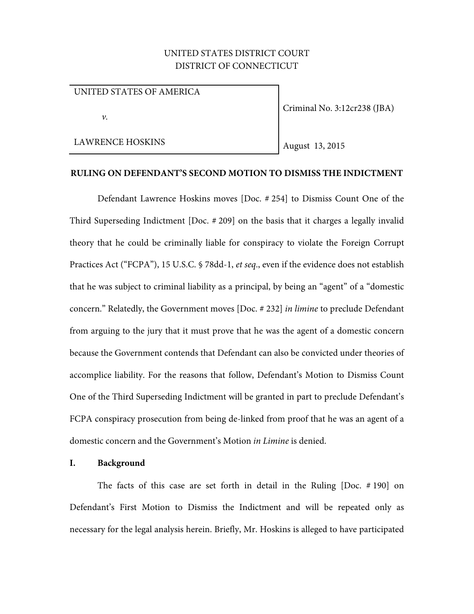# UNITED STATES DISTRICT COURT DISTRICT OF CONNECTICUT

## UNITED STATES OF AMERICA

 $\nu$ .

LAWRENCE HOSKINS

Criminal No. 3:12cr238 (JBA)

August 13, 2015

## **RULING ON DEFENDANT'S SECOND MOTION TO DISMISS THE INDICTMENT**

Defendant Lawrence Hoskins moves [Doc. # 254] to Dismiss Count One of the Third Superseding Indictment [Doc. # 209] on the basis that it charges a legally invalid theory that he could be criminally liable for conspiracy to violate the Foreign Corrupt Practices Act ("FCPA"), 15 U.S.C. § 78dd-1, et seq., even if the evidence does not establish that he was subject to criminal liability as a principal, by being an "agent" of a "domestic concern." Relatedly, the Government moves [Doc. # 232] in limine to preclude Defendant from arguing to the jury that it must prove that he was the agent of a domestic concern because the Government contends that Defendant can also be convicted under theories of accomplice liability. For the reasons that follow, Defendant's Motion to Dismiss Count One of the Third Superseding Indictment will be granted in part to preclude Defendant's FCPA conspiracy prosecution from being de-linked from proof that he was an agent of a domestic concern and the Government's Motion in Limine is denied.

#### **I. Background**

The facts of this case are set forth in detail in the Ruling [Doc. # 190] on Defendant's First Motion to Dismiss the Indictment and will be repeated only as necessary for the legal analysis herein. Briefly, Mr. Hoskins is alleged to have participated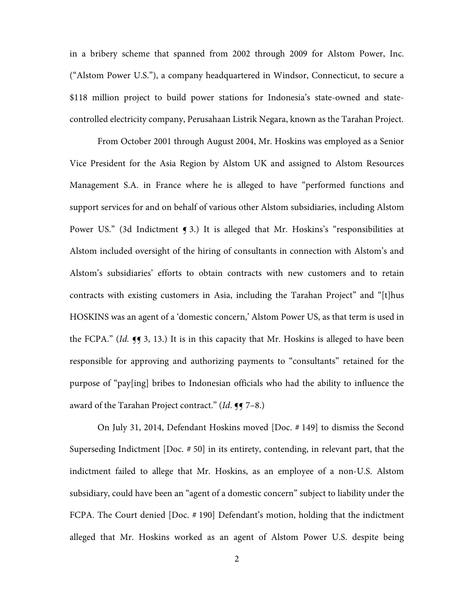in a bribery scheme that spanned from 2002 through 2009 for Alstom Power, Inc. ("Alstom Power U.S."), a company headquartered in Windsor, Connecticut, to secure a \$118 million project to build power stations for Indonesia's state-owned and statecontrolled electricity company, Perusahaan Listrik Negara, known as the Tarahan Project.

From October 2001 through August 2004, Mr. Hoskins was employed as a Senior Vice President for the Asia Region by Alstom UK and assigned to Alstom Resources Management S.A. in France where he is alleged to have "performed functions and support services for and on behalf of various other Alstom subsidiaries, including Alstom Power US." (3d Indictment  $\bigcirc$  3.) It is alleged that Mr. Hoskins's "responsibilities at Alstom included oversight of the hiring of consultants in connection with Alstom's and Alstom's subsidiaries' efforts to obtain contracts with new customers and to retain contracts with existing customers in Asia, including the Tarahan Project" and "[t]hus HOSKINS was an agent of a 'domestic concern,' Alstom Power US, as that term is used in the FCPA." (Id.  $\P$  $\P$  $3$ , 13.) It is in this capacity that Mr. Hoskins is alleged to have been responsible for approving and authorizing payments to "consultants" retained for the purpose of "pay[ing] bribes to Indonesian officials who had the ability to influence the award of the Tarahan Project contract."  $(Id. \P \P 7-8.)$ 

On July 31, 2014, Defendant Hoskins moved [Doc. # 149] to dismiss the Second Superseding Indictment [Doc. # 50] in its entirety, contending, in relevant part, that the indictment failed to allege that Mr. Hoskins, as an employee of a non-U.S. Alstom subsidiary, could have been an "agent of a domestic concern" subject to liability under the FCPA. The Court denied [Doc. # 190] Defendant's motion, holding that the indictment alleged that Mr. Hoskins worked as an agent of Alstom Power U.S. despite being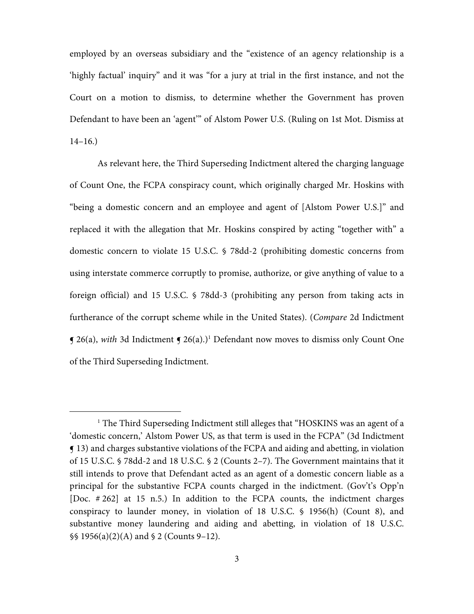employed by an overseas subsidiary and the "existence of an agency relationship is a 'highly factual' inquiry" and it was "for a jury at trial in the first instance, and not the Court on a motion to dismiss, to determine whether the Government has proven Defendant to have been an 'agent'" of Alstom Power U.S. (Ruling on 1st Mot. Dismiss at  $14-16.$ 

As relevant here, the Third Superseding Indictment altered the charging language of Count One, the FCPA conspiracy count, which originally charged Mr. Hoskins with "being a domestic concern and an employee and agent of [Alstom Power U.S.]" and replaced it with the allegation that Mr. Hoskins conspired by acting "together with" a domestic concern to violate 15 U.S.C. § 78dd-2 (prohibiting domestic concerns from using interstate commerce corruptly to promise, authorize, or give anything of value to a foreign official) and 15 U.S.C. § 78dd-3 (prohibiting any person from taking acts in furtherance of the corrupt scheme while in the United States). (Compare 2d Indictment **J** 26(a), with 3d Indictment **J** 26(a).)<sup>1</sup> Defendant now moves to dismiss only Count One of the Third Superseding Indictment.

 $\overline{a}$ 

<sup>&</sup>lt;sup>1</sup> The Third Superseding Indictment still alleges that "HOSKINS was an agent of a 'domestic concern,' Alstom Power US, as that term is used in the FCPA" (3d Indictment ¶ 13) and charges substantive violations of the FCPA and aiding and abetting, in violation of 15 U.S.C. § 78dd-2 and 18 U.S.C. § 2 (Counts 2–7). The Government maintains that it still intends to prove that Defendant acted as an agent of a domestic concern liable as a principal for the substantive FCPA counts charged in the indictment. (Gov't's Opp'n [Doc. # 262] at 15 n.5.) In addition to the FCPA counts, the indictment charges conspiracy to launder money, in violation of 18 U.S.C. § 1956(h) (Count 8), and substantive money laundering and aiding and abetting, in violation of 18 U.S.C. §§ 1956(a)(2)(A) and § 2 (Counts 9–12).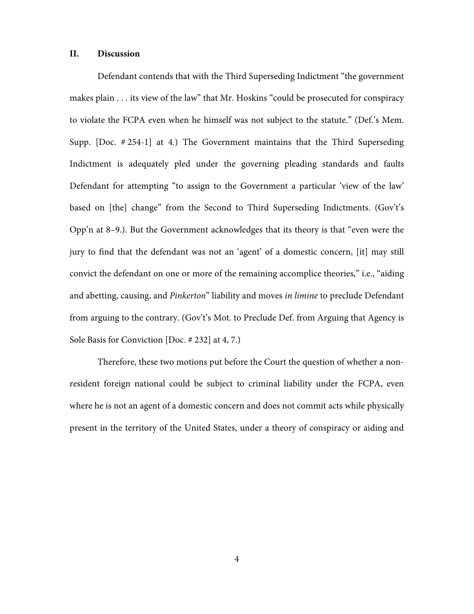#### **II. Discussion**

Defendant contends that with the Third Superseding Indictment "the government makes plain . . . its view of the law" that Mr. Hoskins "could be prosecuted for conspiracy to violate the FCPA even when he himself was not subject to the statute." (Def.'s Mem. Supp. [Doc. # 254-1] at 4.) The Government maintains that the Third Superseding Indictment is adequately pled under the governing pleading standards and faults Defendant for attempting "to assign to the Government a particular 'view of the law' based on [the] change" from the Second to Third Superseding Indictments. (Gov't's Opp'n at 8–9.). But the Government acknowledges that its theory is that "even were the jury to find that the defendant was not an 'agent' of a domestic concern, [it] may still convict the defendant on one or more of the remaining accomplice theories," i.e., "aiding and abetting, causing, and *Pinkerton*" liability and moves *in limine* to preclude Defendant from arguing to the contrary. (Gov't's Mot. to Preclude Def. from Arguing that Agency is Sole Basis for Conviction [Doc. # 232] at 4, 7.)

Therefore, these two motions put before the Court the question of whether a nonresident foreign national could be subject to criminal liability under the FCPA, even where he is not an agent of a domestic concern and does not commit acts while physically present in the territory of the United States, under a theory of conspiracy or aiding and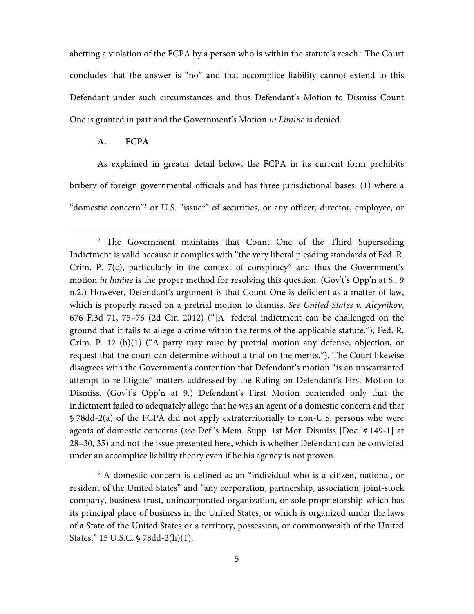abetting a violation of the FCPA by a person who is within the statute's reach.<sup>2</sup> The Court concludes that the answer is "no" and that accomplice liability cannot extend to this Defendant under such circumstances and thus Defendant's Motion to Dismiss Count One is granted in part and the Government's Motion in Limine is denied.

## **A. FCPA**

I

As explained in greater detail below, the FCPA in its current form prohibits bribery of foreign governmental officials and has three jurisdictional bases: (1) where a "domestic concern"<sup>3</sup> or U.S. "issuer" of securities, or any officer, director, employee, or

<sup>3</sup> A domestic concern is defined as an "individual who is a citizen, national, or resident of the United States" and "any corporation, partnership, association, joint-stock company, business trust, unincorporated organization, or sole proprietorship which has its principal place of business in the United States, or which is organized under the laws of a State of the United States or a territory, possession, or commonwealth of the United States." 15 U.S.C. § 78dd-2(h)(1).

<sup>&</sup>lt;sup>2</sup> The Government maintains that Count One of the Third Superseding Indictment is valid because it complies with "the very liberal pleading standards of Fed. R. Crim. P. 7(c), particularly in the context of conspiracy" and thus the Government's motion *in limine* is the proper method for resolving this question. (Gov't's Opp'n at 6., 9 n.2.) However, Defendant's argument is that Count One is deficient as a matter of law, which is properly raised on a pretrial motion to dismiss. See United States v. Aleynikov, 676 F.3d 71, 75–76 (2d Cir. 2012) ("[A] federal indictment can be challenged on the ground that it fails to allege a crime within the terms of the applicable statute."); Fed. R. Crim. P. 12 (b)(1) ("A party may raise by pretrial motion any defense, objection, or request that the court can determine without a trial on the merits."). The Court likewise disagrees with the Government's contention that Defendant's motion "is an unwarranted attempt to re-litigate" matters addressed by the Ruling on Defendant's First Motion to Dismiss. (Gov't's Opp'n at 9.) Defendant's First Motion contended only that the indictment failed to adequately allege that he was an agent of a domestic concern and that § 78dd-2(a) of the FCPA did not apply extraterritorially to non-U.S. persons who were agents of domestic concerns (see Def.'s Mem. Supp. 1st Mot. Dismiss [Doc. # 149-1] at 28–30, 35) and not the issue presented here, which is whether Defendant can be convicted under an accomplice liability theory even if he his agency is not proven.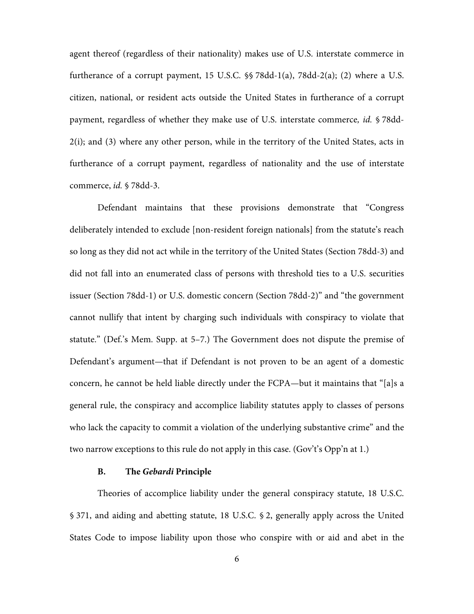agent thereof (regardless of their nationality) makes use of U.S. interstate commerce in furtherance of a corrupt payment, 15 U.S.C. §§ 78dd-1(a), 78dd-2(a); (2) where a U.S. citizen, national, or resident acts outside the United States in furtherance of a corrupt payment, regardless of whether they make use of U.S. interstate commerce, id. § 78dd-2(i); and (3) where any other person, while in the territory of the United States, acts in furtherance of a corrupt payment, regardless of nationality and the use of interstate commerce, id. § 78dd-3.

Defendant maintains that these provisions demonstrate that "Congress deliberately intended to exclude [non-resident foreign nationals] from the statute's reach so long as they did not act while in the territory of the United States (Section 78dd-3) and did not fall into an enumerated class of persons with threshold ties to a U.S. securities issuer (Section 78dd-1) or U.S. domestic concern (Section 78dd-2)" and "the government cannot nullify that intent by charging such individuals with conspiracy to violate that statute." (Def.'s Mem. Supp. at 5–7.) The Government does not dispute the premise of Defendant's argument—that if Defendant is not proven to be an agent of a domestic concern, he cannot be held liable directly under the FCPA—but it maintains that "[a]s a general rule, the conspiracy and accomplice liability statutes apply to classes of persons who lack the capacity to commit a violation of the underlying substantive crime" and the two narrow exceptions to this rule do not apply in this case. (Gov't's Opp'n at 1.)

## **B. The Gebardi Principle**

Theories of accomplice liability under the general conspiracy statute, 18 U.S.C. § 371, and aiding and abetting statute, 18 U.S.C. § 2, generally apply across the United States Code to impose liability upon those who conspire with or aid and abet in the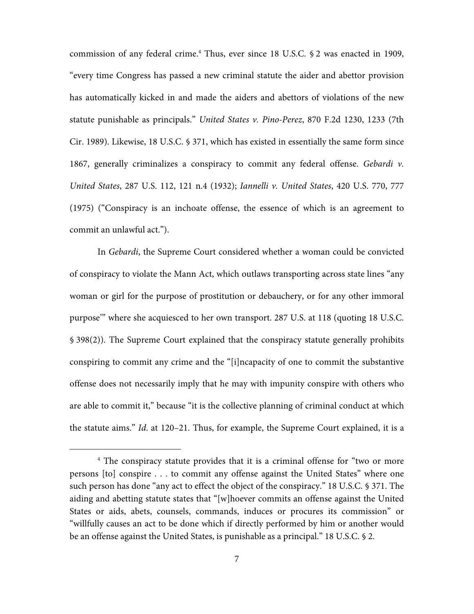commission of any federal crime.<sup>4</sup> Thus, ever since 18 U.S.C. § 2 was enacted in 1909, "every time Congress has passed a new criminal statute the aider and abettor provision has automatically kicked in and made the aiders and abettors of violations of the new statute punishable as principals." United States v. Pino-Perez, 870 F.2d 1230, 1233 (7th Cir. 1989). Likewise, 18 U.S.C. § 371, which has existed in essentially the same form since 1867, generally criminalizes a conspiracy to commit any federal offense. Gebardi v. United States, 287 U.S. 112, 121 n.4 (1932); Iannelli v. United States, 420 U.S. 770, 777 (1975) ("Conspiracy is an inchoate offense, the essence of which is an agreement to commit an unlawful act.").

In Gebardi, the Supreme Court considered whether a woman could be convicted of conspiracy to violate the Mann Act, which outlaws transporting across state lines "any woman or girl for the purpose of prostitution or debauchery, or for any other immoral purpose'" where she acquiesced to her own transport. 287 U.S. at 118 (quoting 18 U.S.C. § 398(2)). The Supreme Court explained that the conspiracy statute generally prohibits conspiring to commit any crime and the "[i]ncapacity of one to commit the substantive offense does not necessarily imply that he may with impunity conspire with others who are able to commit it," because "it is the collective planning of criminal conduct at which the statute aims." Id. at 120–21. Thus, for example, the Supreme Court explained, it is a

I

<sup>&</sup>lt;sup>4</sup> The conspiracy statute provides that it is a criminal offense for "two or more persons [to] conspire . . . to commit any offense against the United States" where one such person has done "any act to effect the object of the conspiracy." 18 U.S.C. § 371. The aiding and abetting statute states that "[w]hoever commits an offense against the United States or aids, abets, counsels, commands, induces or procures its commission" or "willfully causes an act to be done which if directly performed by him or another would be an offense against the United States, is punishable as a principal." 18 U.S.C. § 2.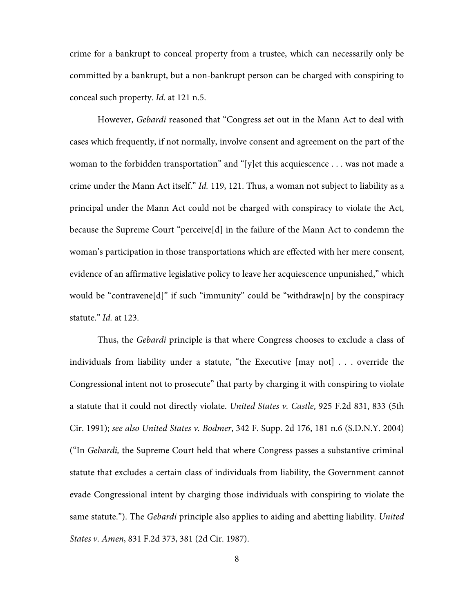crime for a bankrupt to conceal property from a trustee, which can necessarily only be committed by a bankrupt, but a non-bankrupt person can be charged with conspiring to conceal such property. Id. at 121 n.5.

However, Gebardi reasoned that "Congress set out in the Mann Act to deal with cases which frequently, if not normally, involve consent and agreement on the part of the woman to the forbidden transportation" and "[y]et this acquiescence . . . was not made a crime under the Mann Act itself." Id. 119, 121. Thus, a woman not subject to liability as a principal under the Mann Act could not be charged with conspiracy to violate the Act, because the Supreme Court "perceive[d] in the failure of the Mann Act to condemn the woman's participation in those transportations which are effected with her mere consent, evidence of an affirmative legislative policy to leave her acquiescence unpunished," which would be "contravene[d]" if such "immunity" could be "withdraw[n] by the conspiracy statute." Id. at 123.

Thus, the Gebardi principle is that where Congress chooses to exclude a class of individuals from liability under a statute, "the Executive [may not] . . . override the Congressional intent not to prosecute" that party by charging it with conspiring to violate a statute that it could not directly violate. United States v. Castle, 925 F.2d 831, 833 (5th Cir. 1991); see also United States v. Bodmer, 342 F. Supp. 2d 176, 181 n.6 (S.D.N.Y. 2004) ("In Gebardi, the Supreme Court held that where Congress passes a substantive criminal statute that excludes a certain class of individuals from liability, the Government cannot evade Congressional intent by charging those individuals with conspiring to violate the same statute."). The *Gebardi* principle also applies to aiding and abetting liability. United States v. Amen, 831 F.2d 373, 381 (2d Cir. 1987).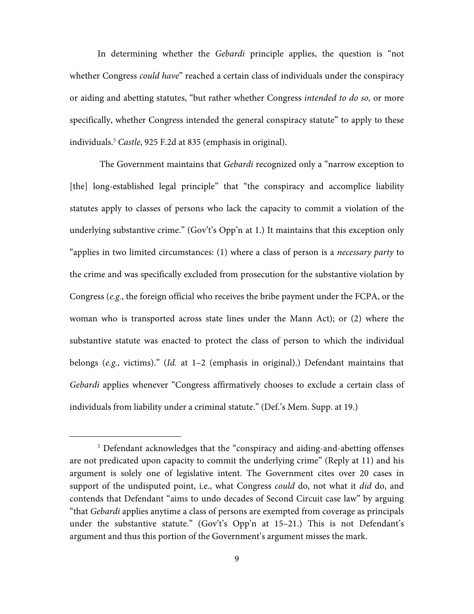In determining whether the Gebardi principle applies, the question is "not whether Congress could have" reached a certain class of individuals under the conspiracy or aiding and abetting statutes, "but rather whether Congress intended to do so, or more specifically, whether Congress intended the general conspiracy statute" to apply to these individuals.<sup>5</sup> Castle, 925 F.2d at 835 (emphasis in original).

 The Government maintains that Gebardi recognized only a "narrow exception to [the] long-established legal principle" that "the conspiracy and accomplice liability statutes apply to classes of persons who lack the capacity to commit a violation of the underlying substantive crime." (Gov't's Opp'n at 1.) It maintains that this exception only "applies in two limited circumstances: (1) where a class of person is a necessary party to the crime and was specifically excluded from prosecution for the substantive violation by Congress (e.g., the foreign official who receives the bribe payment under the FCPA, or the woman who is transported across state lines under the Mann Act); or (2) where the substantive statute was enacted to protect the class of person to which the individual belongs (e.g., victims)." (Id. at 1-2 (emphasis in original).) Defendant maintains that Gebardi applies whenever "Congress affirmatively chooses to exclude a certain class of individuals from liability under a criminal statute." (Def.'s Mem. Supp. at 19.)

I

<sup>&</sup>lt;sup>5</sup> Defendant acknowledges that the "conspiracy and aiding-and-abetting offenses are not predicated upon capacity to commit the underlying crime" (Reply at 11) and his argument is solely one of legislative intent. The Government cites over 20 cases in support of the undisputed point, i.e., what Congress could do, not what it did do, and contends that Defendant "aims to undo decades of Second Circuit case law" by arguing "that Gebardi applies anytime a class of persons are exempted from coverage as principals under the substantive statute." (Gov't's Opp'n at 15–21.) This is not Defendant's argument and thus this portion of the Government's argument misses the mark.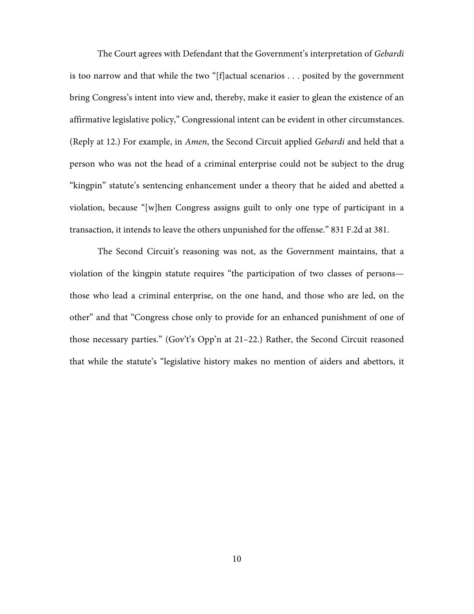The Court agrees with Defendant that the Government's interpretation of Gebardi is too narrow and that while the two "[f]actual scenarios . . . posited by the government bring Congress's intent into view and, thereby, make it easier to glean the existence of an affirmative legislative policy," Congressional intent can be evident in other circumstances. (Reply at 12.) For example, in Amen, the Second Circuit applied Gebardi and held that a person who was not the head of a criminal enterprise could not be subject to the drug "kingpin" statute's sentencing enhancement under a theory that he aided and abetted a violation, because "[w]hen Congress assigns guilt to only one type of participant in a transaction, it intends to leave the others unpunished for the offense." 831 F.2d at 381.

The Second Circuit's reasoning was not, as the Government maintains, that a violation of the kingpin statute requires "the participation of two classes of persons those who lead a criminal enterprise, on the one hand, and those who are led, on the other" and that "Congress chose only to provide for an enhanced punishment of one of those necessary parties." (Gov't's Opp'n at 21–22.) Rather, the Second Circuit reasoned that while the statute's "legislative history makes no mention of aiders and abettors, it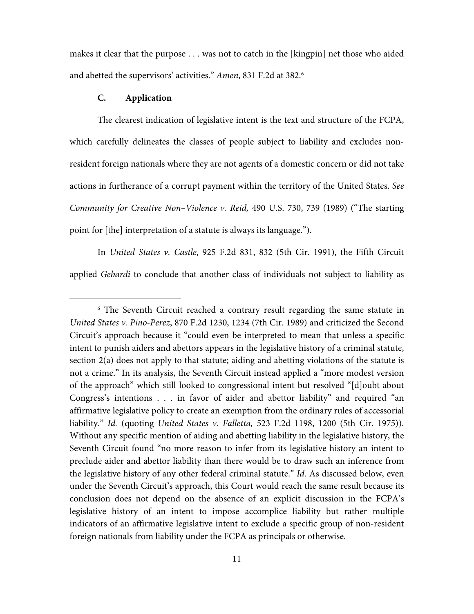makes it clear that the purpose . . . was not to catch in the [kingpin] net those who aided and abetted the supervisors' activities." Amen, 831 F.2d at 382.<sup>6</sup>

## **C. Application**

I

The clearest indication of legislative intent is the text and structure of the FCPA, which carefully delineates the classes of people subject to liability and excludes nonresident foreign nationals where they are not agents of a domestic concern or did not take actions in furtherance of a corrupt payment within the territory of the United States. See Community for Creative Non–Violence v. Reid, 490 U.S. 730, 739 (1989) ("The starting point for [the] interpretation of a statute is always its language.").

In United States v. Castle, 925 F.2d 831, 832 (5th Cir. 1991), the Fifth Circuit applied Gebardi to conclude that another class of individuals not subject to liability as

<sup>&</sup>lt;sup>6</sup> The Seventh Circuit reached a contrary result regarding the same statute in United States v. Pino-Perez, 870 F.2d 1230, 1234 (7th Cir. 1989) and criticized the Second Circuit's approach because it "could even be interpreted to mean that unless a specific intent to punish aiders and abettors appears in the legislative history of a criminal statute, section 2(a) does not apply to that statute; aiding and abetting violations of the statute is not a crime." In its analysis, the Seventh Circuit instead applied a "more modest version of the approach" which still looked to congressional intent but resolved "[d]oubt about Congress's intentions . . . in favor of aider and abettor liability" and required "an affirmative legislative policy to create an exemption from the ordinary rules of accessorial liability." Id. (quoting United States v. Falletta, 523 F.2d 1198, 1200 (5th Cir. 1975)). Without any specific mention of aiding and abetting liability in the legislative history, the Seventh Circuit found "no more reason to infer from its legislative history an intent to preclude aider and abettor liability than there would be to draw such an inference from the legislative history of any other federal criminal statute." Id. As discussed below, even under the Seventh Circuit's approach, this Court would reach the same result because its conclusion does not depend on the absence of an explicit discussion in the FCPA's legislative history of an intent to impose accomplice liability but rather multiple indicators of an affirmative legislative intent to exclude a specific group of non-resident foreign nationals from liability under the FCPA as principals or otherwise.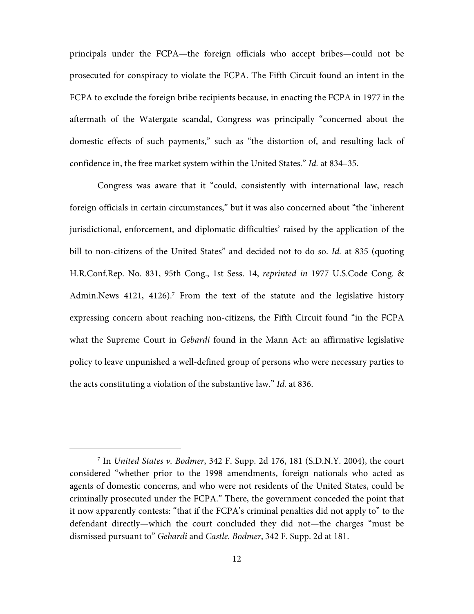principals under the FCPA—the foreign officials who accept bribes—could not be prosecuted for conspiracy to violate the FCPA. The Fifth Circuit found an intent in the FCPA to exclude the foreign bribe recipients because, in enacting the FCPA in 1977 in the aftermath of the Watergate scandal, Congress was principally "concerned about the domestic effects of such payments," such as "the distortion of, and resulting lack of confidence in, the free market system within the United States." Id. at 834–35.

Congress was aware that it "could, consistently with international law, reach foreign officials in certain circumstances," but it was also concerned about "the 'inherent jurisdictional, enforcement, and diplomatic difficulties' raised by the application of the bill to non-citizens of the United States" and decided not to do so. Id. at 835 (quoting H.R.Conf.Rep. No. 831, 95th Cong., 1st Sess. 14, reprinted in 1977 U.S.Code Cong. & Admin.News 4121, 4126).<sup>7</sup> From the text of the statute and the legislative history expressing concern about reaching non-citizens, the Fifth Circuit found "in the FCPA what the Supreme Court in *Gebardi* found in the Mann Act: an affirmative legislative policy to leave unpunished a well-defined group of persons who were necessary parties to the acts constituting a violation of the substantive law." Id. at 836.

I

<sup>7</sup> In United States v. Bodmer, 342 F. Supp. 2d 176, 181 (S.D.N.Y. 2004), the court considered "whether prior to the 1998 amendments, foreign nationals who acted as agents of domestic concerns, and who were not residents of the United States, could be criminally prosecuted under the FCPA." There, the government conceded the point that it now apparently contests: "that if the FCPA's criminal penalties did not apply to" to the defendant directly—which the court concluded they did not—the charges "must be dismissed pursuant to" Gebardi and Castle. Bodmer, 342 F. Supp. 2d at 181.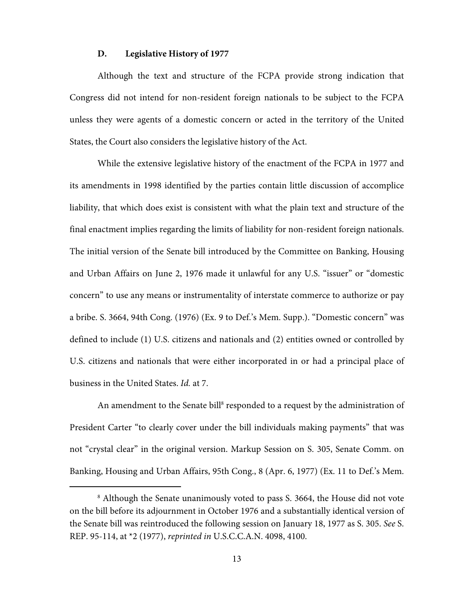#### **D. Legislative History of 1977**

Although the text and structure of the FCPA provide strong indication that Congress did not intend for non-resident foreign nationals to be subject to the FCPA unless they were agents of a domestic concern or acted in the territory of the United States, the Court also considers the legislative history of the Act.

While the extensive legislative history of the enactment of the FCPA in 1977 and its amendments in 1998 identified by the parties contain little discussion of accomplice liability, that which does exist is consistent with what the plain text and structure of the final enactment implies regarding the limits of liability for non-resident foreign nationals. The initial version of the Senate bill introduced by the Committee on Banking, Housing and Urban Affairs on June 2, 1976 made it unlawful for any U.S. "issuer" or "domestic concern" to use any means or instrumentality of interstate commerce to authorize or pay a bribe. S. 3664, 94th Cong. (1976) (Ex. 9 to Def.'s Mem. Supp.). "Domestic concern" was defined to include (1) U.S. citizens and nationals and (2) entities owned or controlled by U.S. citizens and nationals that were either incorporated in or had a principal place of business in the United States. Id. at 7.

An amendment to the Senate bill<sup>8</sup> responded to a request by the administration of President Carter "to clearly cover under the bill individuals making payments" that was not "crystal clear" in the original version. Markup Session on S. 305, Senate Comm. on Banking, Housing and Urban Affairs, 95th Cong., 8 (Apr. 6, 1977) (Ex. 11 to Def.'s Mem.

I

<sup>8</sup> Although the Senate unanimously voted to pass S. 3664, the House did not vote on the bill before its adjournment in October 1976 and a substantially identical version of the Senate bill was reintroduced the following session on January 18, 1977 as S. 305. See S. REP. 95-114, at \*2 (1977), reprinted in U.S.C.C.A.N. 4098, 4100.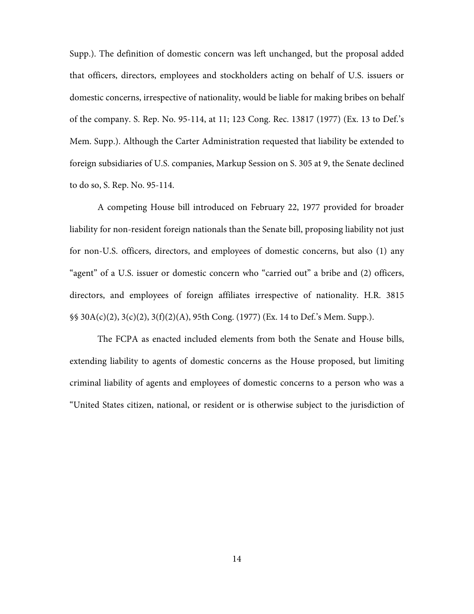Supp.). The definition of domestic concern was left unchanged, but the proposal added that officers, directors, employees and stockholders acting on behalf of U.S. issuers or domestic concerns, irrespective of nationality, would be liable for making bribes on behalf of the company. S. Rep. No. 95-114, at 11; 123 Cong. Rec. 13817 (1977) (Ex. 13 to Def.'s Mem. Supp.). Although the Carter Administration requested that liability be extended to foreign subsidiaries of U.S. companies, Markup Session on S. 305 at 9, the Senate declined to do so, S. Rep. No. 95-114.

 A competing House bill introduced on February 22, 1977 provided for broader liability for non-resident foreign nationals than the Senate bill, proposing liability not just for non-U.S. officers, directors, and employees of domestic concerns, but also (1) any "agent" of a U.S. issuer or domestic concern who "carried out" a bribe and (2) officers, directors, and employees of foreign affiliates irrespective of nationality. H.R. 3815 §§ 30A(c)(2), 3(c)(2), 3(f)(2)(A), 95th Cong. (1977) (Ex. 14 to Def.'s Mem. Supp.).

The FCPA as enacted included elements from both the Senate and House bills, extending liability to agents of domestic concerns as the House proposed, but limiting criminal liability of agents and employees of domestic concerns to a person who was a "United States citizen, national, or resident or is otherwise subject to the jurisdiction of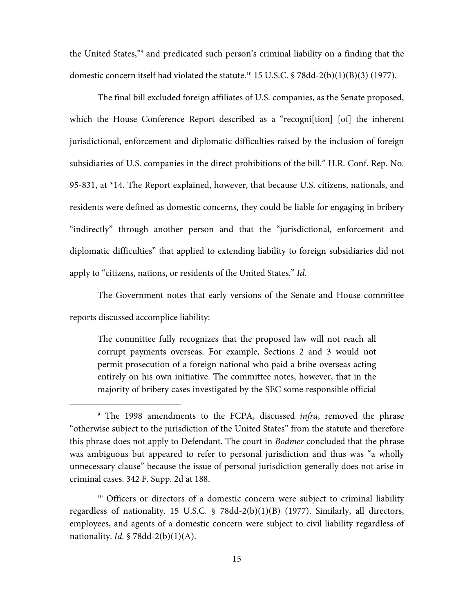the United States,"9 and predicated such person's criminal liability on a finding that the domestic concern itself had violated the statute.<sup>10</sup> 15 U.S.C. § 78dd-2(b)(1)(B)(3) (1977).

The final bill excluded foreign affiliates of U.S. companies, as the Senate proposed, which the House Conference Report described as a "recogni[tion] [of] the inherent jurisdictional, enforcement and diplomatic difficulties raised by the inclusion of foreign subsidiaries of U.S. companies in the direct prohibitions of the bill." H.R. Conf. Rep. No. 95-831, at \*14. The Report explained, however, that because U.S. citizens, nationals, and residents were defined as domestic concerns, they could be liable for engaging in bribery "indirectly" through another person and that the "jurisdictional, enforcement and diplomatic difficulties" that applied to extending liability to foreign subsidiaries did not apply to "citizens, nations, or residents of the United States." Id.

The Government notes that early versions of the Senate and House committee reports discussed accomplice liability:

The committee fully recognizes that the proposed law will not reach all corrupt payments overseas. For example, Sections 2 and 3 would not permit prosecution of a foreign national who paid a bribe overseas acting entirely on his own initiative. The committee notes, however, that in the majority of bribery cases investigated by the SEC some responsible official

 $\overline{a}$ 

<sup>&</sup>lt;sup>9</sup> The 1998 amendments to the FCPA, discussed *infra*, removed the phrase "otherwise subject to the jurisdiction of the United States" from the statute and therefore this phrase does not apply to Defendant. The court in Bodmer concluded that the phrase was ambiguous but appeared to refer to personal jurisdiction and thus was "a wholly unnecessary clause" because the issue of personal jurisdiction generally does not arise in criminal cases. 342 F. Supp. 2d at 188.

<sup>&</sup>lt;sup>10</sup> Officers or directors of a domestic concern were subject to criminal liability regardless of nationality. 15 U.S.C. § 78dd-2(b)(1)(B) (1977). Similarly, all directors, employees, and agents of a domestic concern were subject to civil liability regardless of nationality. Id.  $\sqrt{578}$ dd-2(b)(1)(A).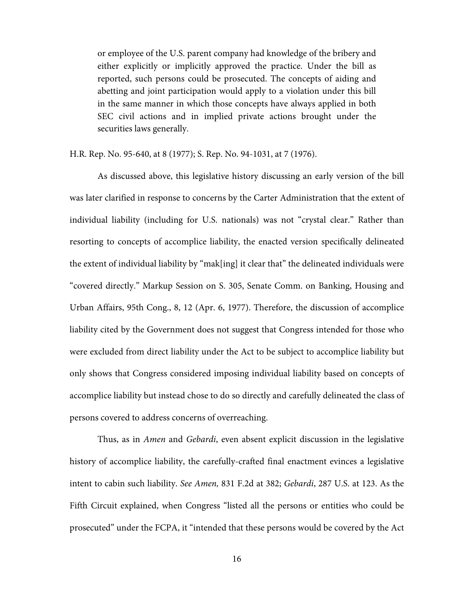or employee of the U.S. parent company had knowledge of the bribery and either explicitly or implicitly approved the practice. Under the bill as reported, such persons could be prosecuted. The concepts of aiding and abetting and joint participation would apply to a violation under this bill in the same manner in which those concepts have always applied in both SEC civil actions and in implied private actions brought under the securities laws generally.

H.R. Rep. No. 95-640, at 8 (1977); S. Rep. No. 94-1031, at 7 (1976).

 As discussed above, this legislative history discussing an early version of the bill was later clarified in response to concerns by the Carter Administration that the extent of individual liability (including for U.S. nationals) was not "crystal clear." Rather than resorting to concepts of accomplice liability, the enacted version specifically delineated the extent of individual liability by "mak[ing] it clear that" the delineated individuals were "covered directly." Markup Session on S. 305, Senate Comm. on Banking, Housing and Urban Affairs, 95th Cong., 8, 12 (Apr. 6, 1977). Therefore, the discussion of accomplice liability cited by the Government does not suggest that Congress intended for those who were excluded from direct liability under the Act to be subject to accomplice liability but only shows that Congress considered imposing individual liability based on concepts of accomplice liability but instead chose to do so directly and carefully delineated the class of persons covered to address concerns of overreaching.

Thus, as in Amen and Gebardi, even absent explicit discussion in the legislative history of accomplice liability, the carefully-crafted final enactment evinces a legislative intent to cabin such liability. See Amen, 831 F.2d at 382; Gebardi, 287 U.S. at 123. As the Fifth Circuit explained, when Congress "listed all the persons or entities who could be prosecuted" under the FCPA, it "intended that these persons would be covered by the Act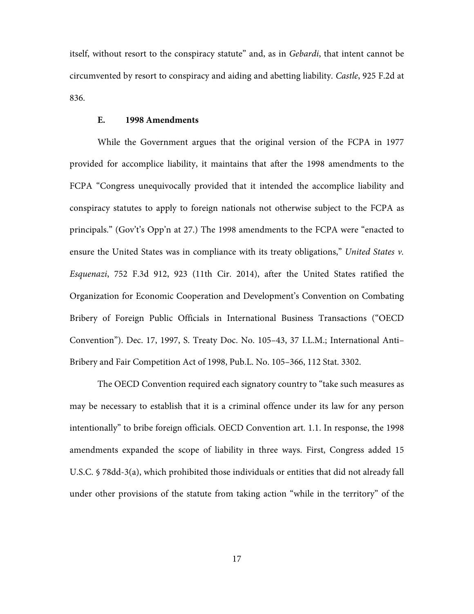itself, without resort to the conspiracy statute" and, as in Gebardi, that intent cannot be circumvented by resort to conspiracy and aiding and abetting liability. Castle, 925 F.2d at 836.

## **E. 1998 Amendments**

 While the Government argues that the original version of the FCPA in 1977 provided for accomplice liability, it maintains that after the 1998 amendments to the FCPA "Congress unequivocally provided that it intended the accomplice liability and conspiracy statutes to apply to foreign nationals not otherwise subject to the FCPA as principals." (Gov't's Opp'n at 27.) The 1998 amendments to the FCPA were "enacted to ensure the United States was in compliance with its treaty obligations," United States v. Esquenazi, 752 F.3d 912, 923 (11th Cir. 2014), after the United States ratified the Organization for Economic Cooperation and Development's Convention on Combating Bribery of Foreign Public Officials in International Business Transactions ("OECD Convention"). Dec. 17, 1997, S. Treaty Doc. No. 105–43, 37 I.L.M.; International Anti– Bribery and Fair Competition Act of 1998, Pub.L. No. 105–366, 112 Stat. 3302.

The OECD Convention required each signatory country to "take such measures as may be necessary to establish that it is a criminal offence under its law for any person intentionally" to bribe foreign officials. OECD Convention art. 1.1. In response, the 1998 amendments expanded the scope of liability in three ways. First, Congress added 15 U.S.C. § 78dd-3(a), which prohibited those individuals or entities that did not already fall under other provisions of the statute from taking action "while in the territory" of the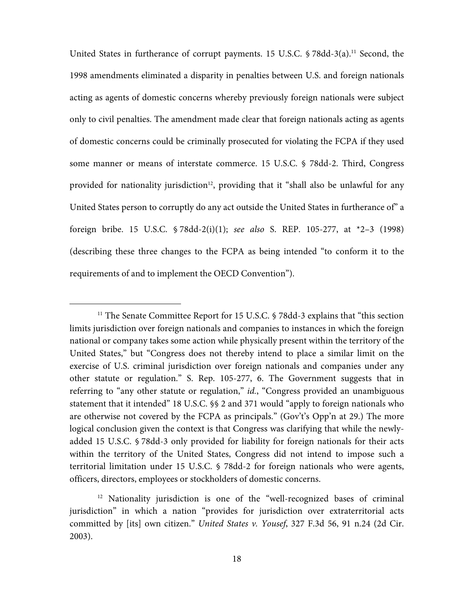United States in furtherance of corrupt payments. 15 U.S.C.  $\frac{5}{8}$  78dd-3(a).<sup>11</sup> Second, the 1998 amendments eliminated a disparity in penalties between U.S. and foreign nationals acting as agents of domestic concerns whereby previously foreign nationals were subject only to civil penalties. The amendment made clear that foreign nationals acting as agents of domestic concerns could be criminally prosecuted for violating the FCPA if they used some manner or means of interstate commerce. 15 U.S.C. § 78dd-2. Third, Congress provided for nationality jurisdiction<sup>12</sup>, providing that it "shall also be unlawful for any United States person to corruptly do any act outside the United States in furtherance of" a foreign bribe. 15 U.S.C.  $\frac{5}{8}$  78dd-2(i)(1); see also S. REP. 105-277, at  $\frac{2}{3}$  (1998) (describing these three changes to the FCPA as being intended "to conform it to the requirements of and to implement the OECD Convention").

 $\overline{a}$ 

<sup>&</sup>lt;sup>11</sup> The Senate Committee Report for 15 U.S.C. § 78dd-3 explains that "this section" limits jurisdiction over foreign nationals and companies to instances in which the foreign national or company takes some action while physically present within the territory of the United States," but "Congress does not thereby intend to place a similar limit on the exercise of U.S. criminal jurisdiction over foreign nationals and companies under any other statute or regulation." S. Rep. 105-277, 6. The Government suggests that in referring to "any other statute or regulation," *id.*, "Congress provided an unambiguous statement that it intended" 18 U.S.C. §§ 2 and 371 would "apply to foreign nationals who are otherwise not covered by the FCPA as principals." (Gov't's Opp'n at 29.) The more logical conclusion given the context is that Congress was clarifying that while the newlyadded 15 U.S.C. § 78dd-3 only provided for liability for foreign nationals for their acts within the territory of the United States, Congress did not intend to impose such a territorial limitation under 15 U.S.C. § 78dd-2 for foreign nationals who were agents, officers, directors, employees or stockholders of domestic concerns.

<sup>&</sup>lt;sup>12</sup> Nationality jurisdiction is one of the "well-recognized bases of criminal jurisdiction" in which a nation "provides for jurisdiction over extraterritorial acts committed by [its] own citizen." United States v. Yousef, 327 F.3d 56, 91 n.24 (2d Cir. 2003).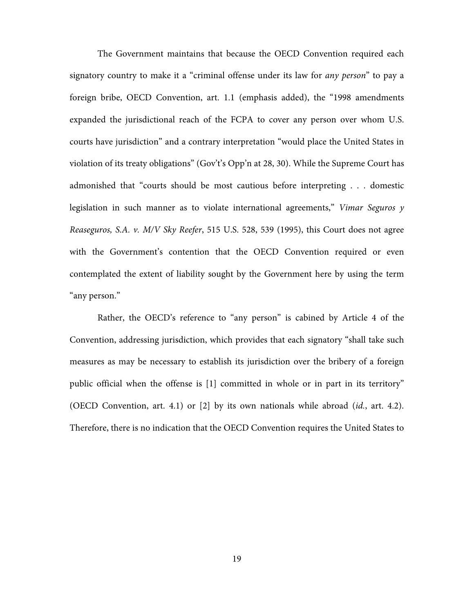The Government maintains that because the OECD Convention required each signatory country to make it a "criminal offense under its law for *any person*" to pay a foreign bribe, OECD Convention, art. 1.1 (emphasis added), the "1998 amendments expanded the jurisdictional reach of the FCPA to cover any person over whom U.S. courts have jurisdiction" and a contrary interpretation "would place the United States in violation of its treaty obligations" (Gov't's Opp'n at 28, 30). While the Supreme Court has admonished that "courts should be most cautious before interpreting . . . domestic legislation in such manner as to violate international agreements," Vimar Seguros  $y$ Reaseguros, S.A. v. M/V Sky Reefer, 515 U.S. 528, 539 (1995), this Court does not agree with the Government's contention that the OECD Convention required or even contemplated the extent of liability sought by the Government here by using the term "any person."

Rather, the OECD's reference to "any person" is cabined by Article 4 of the Convention, addressing jurisdiction, which provides that each signatory "shall take such measures as may be necessary to establish its jurisdiction over the bribery of a foreign public official when the offense is [1] committed in whole or in part in its territory" (OECD Convention, art. 4.1) or [2] by its own nationals while abroad (id., art. 4.2). Therefore, there is no indication that the OECD Convention requires the United States to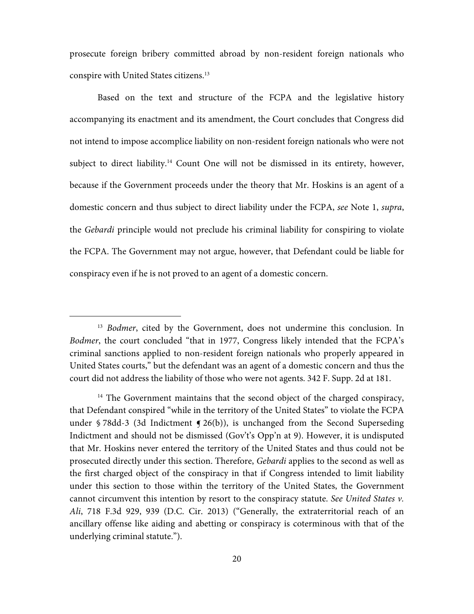prosecute foreign bribery committed abroad by non-resident foreign nationals who conspire with United States citizens.13

Based on the text and structure of the FCPA and the legislative history accompanying its enactment and its amendment, the Court concludes that Congress did not intend to impose accomplice liability on non-resident foreign nationals who were not subject to direct liability.<sup>14</sup> Count One will not be dismissed in its entirety, however, because if the Government proceeds under the theory that Mr. Hoskins is an agent of a domestic concern and thus subject to direct liability under the FCPA, see Note 1, supra, the Gebardi principle would not preclude his criminal liability for conspiring to violate the FCPA. The Government may not argue, however, that Defendant could be liable for conspiracy even if he is not proved to an agent of a domestic concern.

 $\overline{a}$ 

<sup>&</sup>lt;sup>13</sup> Bodmer, cited by the Government, does not undermine this conclusion. In Bodmer, the court concluded "that in 1977, Congress likely intended that the FCPA's criminal sanctions applied to non-resident foreign nationals who properly appeared in United States courts," but the defendant was an agent of a domestic concern and thus the court did not address the liability of those who were not agents. 342 F. Supp. 2d at 181.

 $14$  The Government maintains that the second object of the charged conspiracy, that Defendant conspired "while in the territory of the United States" to violate the FCPA under § 78dd-3 (3d Indictment  $\leq$  26(b)), is unchanged from the Second Superseding Indictment and should not be dismissed (Gov't's Opp'n at 9). However, it is undisputed that Mr. Hoskins never entered the territory of the United States and thus could not be prosecuted directly under this section. Therefore, Gebardi applies to the second as well as the first charged object of the conspiracy in that if Congress intended to limit liability under this section to those within the territory of the United States, the Government cannot circumvent this intention by resort to the conspiracy statute. See United States v. Ali, 718 F.3d 929, 939 (D.C. Cir. 2013) ("Generally, the extraterritorial reach of an ancillary offense like aiding and abetting or conspiracy is coterminous with that of the underlying criminal statute.").